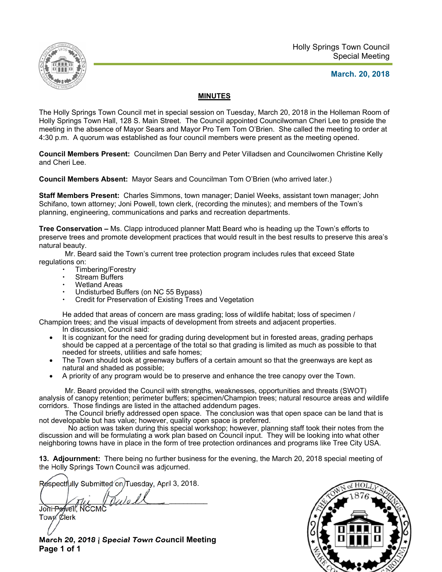

#### **March. 20, 2018**

#### **MINUTES**

The Holly Springs Town Council met in special session on Tuesday, March 20, 2018 in the Holleman Room of Holly Springs Town Hall, 128 S. Main Street. The Council appointed Councilwoman Cheri Lee to preside the meeting in the absence of Mayor Sears and Mayor Pro Tem Tom O'Brien. She called the meeting to order at 4:30 p.m. A quorum was established as four council members were present as the meeting opened.

**Council Members Present:** Councilmen Dan Berry and Peter Villadsen and Councilwomen Christine Kelly and Cheri Lee.

**Council Members Absent:** Mayor Sears and Councilman Tom O'Brien (who arrived later.)

**Staff Members Present:** Charles Simmons, town manager; Daniel Weeks, assistant town manager; John Schifano, town attorney; Joni Powell, town clerk, (recording the minutes); and members of the Town's planning, engineering, communications and parks and recreation departments.

**Tree Conservation –** Ms. Clapp introduced planner Matt Beard who is heading up the Town's efforts to preserve trees and promote development practices that would result in the best results to preserve this area's natural beauty.

Mr. Beard said the Town's current tree protection program includes rules that exceed State regulations on:

- Timbering/Forestry
- Stream Buffers
- Wetland Areas
- Undisturbed Buffers (on NC 55 Bypass)
- Credit for Preservation of Existing Trees and Vegetation

He added that areas of concern are mass grading; loss of wildlife habitat; loss of specimen / Champion trees; and the visual impacts of development from streets and adjacent properties.

- In discussion, Council said:
- It is cognizant for the need for grading during development but in forested areas, grading perhaps should be capped at a percentage of the total so that grading is limited as much as possible to that needed for streets, utilities and safe homes;
- The Town should look at greenway buffers of a certain amount so that the greenways are kept as natural and shaded as possible;
- A priority of any program would be to preserve and enhance the tree canopy over the Town.

Mr. Beard provided the Council with strengths, weaknesses, opportunities and threats (SWOT) analysis of canopy retention; perimeter buffers; specimen/Champion trees; natural resource areas and wildlife corridors. Those findings are listed in the attached addendum pages.

The Council briefly addressed open space. The conclusion was that open space can be land that is not developable but has value; however, quality open space is preferred.

No action was taken during this special workshop; however, planning staff took their notes from the discussion and will be formulating a work plan based on Council input. They will be looking into what other neighboring towns have in place in the form of tree protection ordinances and programs like Tree City USA.

**13. Adjournment:** There being no further business for the evening, the March 20, 2018 special meeting of the Holly Springs Town Council was adjourned.

Respectfully Submitted on Tuesday, April 3, 2018.

 $\mathcal{Q}_\mathcal{U}$ Joni Powell, NCCM

Town Clerk

**March 20, 2018 | Special Town Council Meeting Page 1 of 1** 

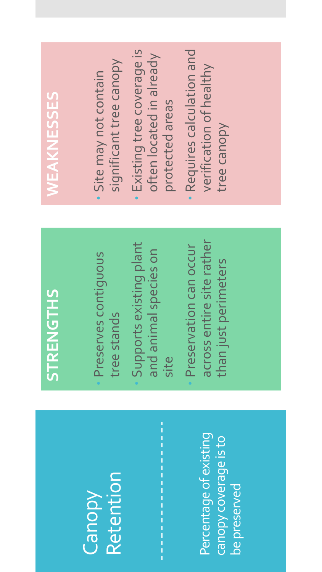### Canopy Retention

Percentage of existing Percentage of existing canopy coverage is to canopy coverage is to be preserved be preserved

### STRENGTHS

- Preserves contiguous Preserves contiquous tree stands
- Supports existing plant Supports existing plant and animal species on and animal species on site

 $\frac{1}{1}$ 

across entire site rather across entire site rather Preservation can occur Preservation can occur than just perimeters than just perimeters

- significant tree canopy significant tree canopy Site may not contain Site may not contain
- Existing tree coverage is Existing tree coverage is often located in already often located in already protected areas protected areas
- Requires calculation and Requires calculation and verification of healthy verification of healthy tree canopy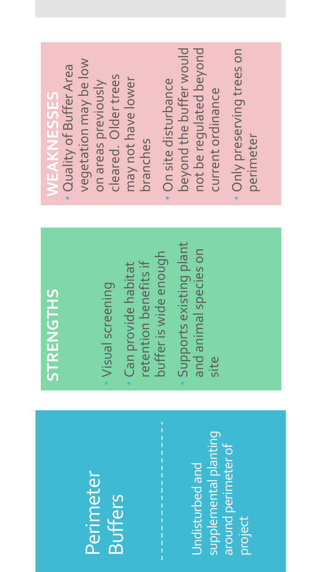### Perimeter **Buffers**

supplemental planting supplemental planting around perimeter of around perimeter of Undisturbed and Undisturbed and project

### STRENGTHS

Visual screening Visual screening

buffer is wide enough buffer is wide enough retention benefits if etention benefits if Can provide habitat Can provide habitat

 Supports existing plant Supports existing plant and animal species on and animal species on site

- vegetation may be low vegetation may be low Quality of Buffer Area Quality of Buffer Area cleared. Older trees cleared. Older trees may not have lower may not have lower on areas previously on areas previously branches
- beyond the buffer would not be regulated beyond beyond the buffer would not be regulated beyond On site disturbance On site disturbance current ordinance current ordinance
- Only preserving trees on Only preserving trees on perimeter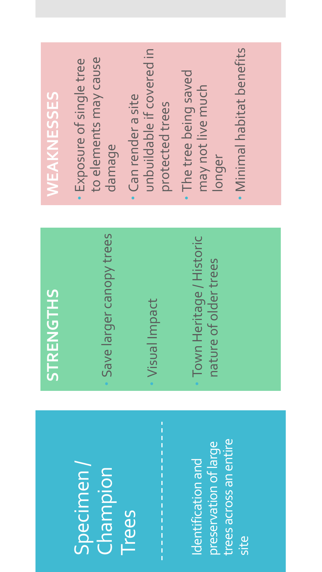#### Specimen/ Champion Trees

trees across an entire trees across an entire preservation of large preservation of large Identification and Identification and site

### STRENGTHS

- Save larger canopy trees Save larger canopy trees
- Visual Impact Visual Impact
- Town Heritage / Historic Town Heritage / Historic nature of older trees nature of older trees

- to elements may cause to elements may cause Exposure of single tree Exposure of single tree damage
- unbuildable if covered in unbuildable if covered in Can render a site Can render a site protected trees protected trees
- The tree being saved The tree being saved may not live much may not live much longer
- Minimal habitat benefits Minimal habitat benefits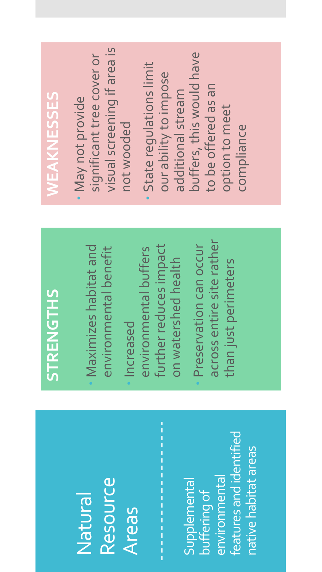#### Natural Resource **Areas**

features and identified features and identified native habitat areas native habitat areas environmental environmental Supplemental Supplemental buffering of

## STRENGTHS

- Maximizes habitat and Maximizes habitat and environmental benefit environmental benefit
- further reduces impact further reduces impact environmental buffers environmental buffers on watershed health on watershed health Increased
- across entire site rather across entire site rather Preservation can occur Preservation can occur than just perimeters than just perimeters

- visual screening if area is visual screening if area is significant tree cover or significant tree cover or May not provide May not provide not wooded
- buffers, this would have buffers, this would have State regulations limit State requlations limit our ability to impose our ability to impose to be offered as an to be offered as an additional stream additional stream option to meet option to meet compliance